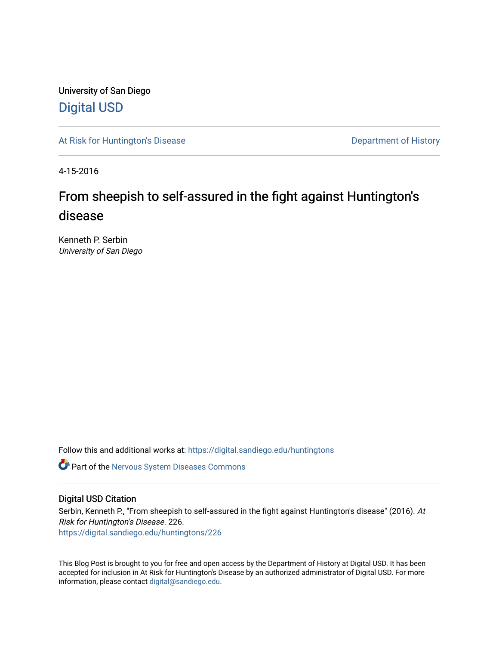University of San Diego [Digital USD](https://digital.sandiego.edu/)

[At Risk for Huntington's Disease](https://digital.sandiego.edu/huntingtons) **Department of History** Department of History

4-15-2016

# From sheepish to self-assured in the fight against Huntington's disease

Kenneth P. Serbin University of San Diego

Follow this and additional works at: [https://digital.sandiego.edu/huntingtons](https://digital.sandiego.edu/huntingtons?utm_source=digital.sandiego.edu%2Fhuntingtons%2F226&utm_medium=PDF&utm_campaign=PDFCoverPages)

**C** Part of the [Nervous System Diseases Commons](http://network.bepress.com/hgg/discipline/928?utm_source=digital.sandiego.edu%2Fhuntingtons%2F226&utm_medium=PDF&utm_campaign=PDFCoverPages)

## Digital USD Citation

Serbin, Kenneth P., "From sheepish to self-assured in the fight against Huntington's disease" (2016). At Risk for Huntington's Disease. 226. [https://digital.sandiego.edu/huntingtons/226](https://digital.sandiego.edu/huntingtons/226?utm_source=digital.sandiego.edu%2Fhuntingtons%2F226&utm_medium=PDF&utm_campaign=PDFCoverPages)

This Blog Post is brought to you for free and open access by the Department of History at Digital USD. It has been accepted for inclusion in At Risk for Huntington's Disease by an authorized administrator of Digital USD. For more information, please contact [digital@sandiego.edu.](mailto:digital@sandiego.edu)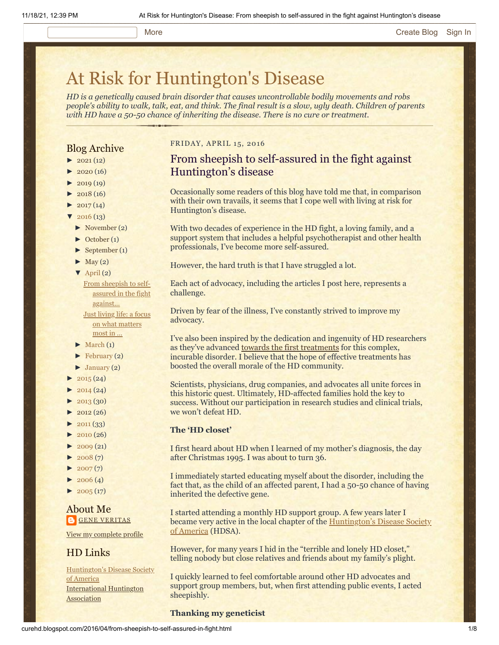#### More **[Create Blog](https://www.blogger.com/home#create) [Sign In](https://www.blogger.com/)**

# [At Risk for Huntington's Disease](http://curehd.blogspot.com/)

*HD is a genetically caused brain disorder that causes uncontrollable bodily movements and robs people's ability to walk, talk, eat, and think. The final result is a slow, ugly death. Children of parents with HD have a 50-50 chance of inheriting the disease. There is no cure or treatment.*

## Blog Archive

- $\blacktriangleright$  [2021](http://curehd.blogspot.com/2021/) (12)
- $2020(16)$  $2020(16)$
- $2019(19)$  $2019(19)$
- $\blacktriangleright$  [2018](http://curehd.blogspot.com/2018/) (16)
- $2017(14)$  $2017(14)$
- $2016(13)$  $2016(13)$
- [►](javascript:void(0)) [November](http://curehd.blogspot.com/2016/11/) (2)
- [►](javascript:void(0)) [October](http://curehd.blogspot.com/2016/10/) (1)
- [►](javascript:void(0)) [September](http://curehd.blogspot.com/2016/09/) (1)
- $\blacktriangleright$  [May](http://curehd.blogspot.com/2016/05/) (2)
- $\nabla$  [April](http://curehd.blogspot.com/2016/04/) (2)
	- From sheepish to selfassured in the fight [against...](http://curehd.blogspot.com/2016/04/from-sheepish-to-self-assured-in-fight.html) Just living life: a focus on what [matters](http://curehd.blogspot.com/2016/04/just-living-life-focus-on-what-matters.html) most in ...
- $\blacktriangleright$  [March](http://curehd.blogspot.com/2016/03/) (1)
- $\blacktriangleright$  [February](http://curehd.blogspot.com/2016/02/) (2)
- $\blacktriangleright$  [January](http://curehd.blogspot.com/2016/01/) (2)
- $2015(24)$  $2015(24)$
- $2014(24)$  $2014(24)$
- $-2013(30)$  $-2013(30)$  $-2013(30)$
- $\rightarrow$  [2012](http://curehd.blogspot.com/2012/) (26)
- $\blacktriangleright$  [2011](http://curehd.blogspot.com/2011/) (33)
- [►](javascript:void(0)) [2010](http://curehd.blogspot.com/2010/) (26)
- $\blacktriangleright$  [2009](http://curehd.blogspot.com/2009/) (21)
- $2008(7)$  $2008(7)$
- $\blacktriangleright$  [2007](http://curehd.blogspot.com/2007/) $(7)$
- $\blacktriangleright$  [2006](http://curehd.blogspot.com/2006/) (4)
- $\blacktriangleright$  [2005](http://curehd.blogspot.com/2005/) (17)

## About Me **GENE [VERITAS](https://www.blogger.com/profile/10911736205741688185)**

View my [complete](https://www.blogger.com/profile/10911736205741688185) profile

## HD Links

[Huntington's](http://www.hdsa.org/) Disease Society of America [International](http://www.huntington-assoc.com/) Huntington **Association** 

#### FRIDAY, APRIL 15, 2016

# From sheepish to self-assured in the fight against Huntington's disease

Occasionally some readers of this blog have told me that, in comparison with their own travails, it seems that I cope well with living at risk for Huntington's disease.

With two decades of experience in the HD fight, a loving family, and a support system that includes a helpful psychotherapist and other health professionals, I've become more self-assured.

However, the hard truth is that I have struggled a lot.

Each act of advocacy, including the articles I post here, represents a challenge.

Driven by fear of the illness, I've constantly strived to improve my advocacy.

I've also been inspired by the dedication and ingenuity of HD researchers as they've advanced [towards the first treatments](https://vimeo.com/156653073) for this complex, incurable disorder. I believe that the hope of effective treatments has boosted the overall morale of the HD community.

Scientists, physicians, drug companies, and advocates all unite forces in this historic quest. Ultimately, HD-affected families hold the key to success. Without our participation in research studies and clinical trials, we won't defeat HD.

#### **The 'HD closet'**

I first heard about HD when I learned of my mother's diagnosis, the day after Christmas 1995. I was about to turn 36.

I immediately started educating myself about the disorder, including the fact that, as the child of an affected parent, I had a 50-50 chance of having inherited the defective gene.

I started attending a monthly HD support group. A few years later I became very active in the local [chapter of the Huntington's Disease Society](http://www.hdsa.org/) of America (HDSA).

However, for many years I hid in the "terrible and lonely HD closet," telling nobody but close relatives and friends about my family's plight.

I quickly learned to feel comfortable around other HD advocates and support group members, but, when first attending public events, I acted sheepishly.

#### **Thanking my geneticist**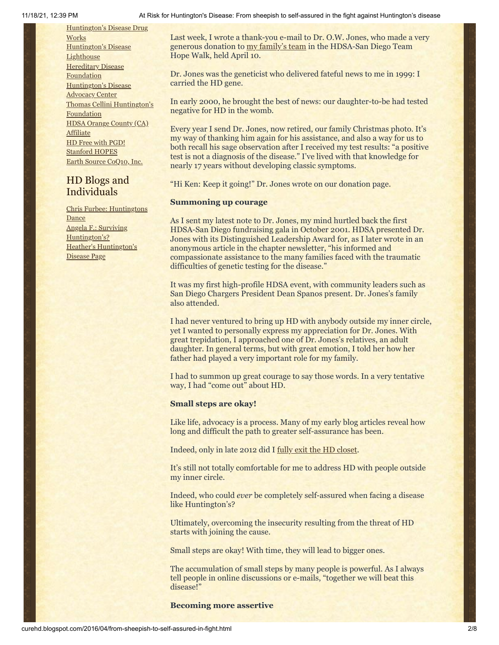[Huntington's](http://hddrugworks.org/) Disease Drug **Works** [Huntington's](http://www.hdlighthouse.org/) Disease **Lighthouse Hereditary Disease [Foundation](http://www.hdfoundation.org/)** [Huntington's](http://www.hdac.org/) Disease Advocacy Center Thomas [Cellini Huntington's](http://www.ourtchfoundation.org/) Foundation HDSA Orange County (CA) [Affiliate](http://www.hdsaoc.org/) HD Free with [PGD!](http://www.hdfreewithpgd.com/) [Stanford](http://www.stanford.edu/group/hopes/) HOPES Earth Source [CoQ10,](http://www.escoq10.com/) Inc.

# HD Blogs and Individuals

Chris Furbee: [Huntingtons](http://www.huntingtonsdance.org/) **Dance** Angela F.: Surviving [Huntington's?](http://survivinghuntingtons.blogspot.com/) Heather's [Huntington's](http://heatherdugdale.angelfire.com/) Disease Page

Last week, I wrote a thank-you e-mail to Dr. O.W. Jones, who made a very generous donation to [my family's team](http://hdsa.donordrive.com/index.cfm?fuseaction=donorDrive.participantDonations&participantID=14714) in the HDSA-San Diego Team Hope Walk, held April 10.

Dr. Jones was the geneticist who delivered fateful news to me in 1999: I carried the HD gene.

In early 2000, he brought the best of news: our daughter-to-be had tested negative for HD in the womb.

Every year I send Dr. Jones, now retired, our family Christmas photo. It's my way of thanking him again for his assistance, and also a way for us to both recall his sage observation after I received my test results: "a positive test is not a diagnosis of the disease." I've lived with that knowledge for nearly 17 years without developing classic symptoms.

"Hi Ken: Keep it going!" Dr. Jones wrote on our donation page.

#### **Summoning up courage**

As I sent my latest note to Dr. Jones, my mind hurtled back the first HDSA-San Diego fundraising gala in October 2001. HDSA presented Dr. Jones with its Distinguished Leadership Award for, as I later wrote in an anonymous article in the chapter newsletter, "his informed and compassionate assistance to the many families faced with the traumatic difficulties of genetic testing for the disease."

It was my first high-profile HDSA event, with community leaders such as San Diego Chargers President Dean Spanos present. Dr. Jones's family also attended.

I had never ventured to bring up HD with anybody outside my inner circle, yet I wanted to personally express my appreciation for Dr. Jones. With great trepidation, I approached one of Dr. Jones's relatives, an adult daughter. In general terms, but with great emotion, I told her how her father had played a very important role for my family.

I had to summon up great courage to say those words. In a very tentative way, I had "come out" about HD.

#### **Small steps are okay!**

Like life, advocacy is a process. Many of my early blog articles reveal how long and difficult the path to greater self-assurance has been.

Indeed, only in late 2012 did I [fully exit the HD closet](http://chronicle.com/article/Racing-Against-the-Genetic/135542/).

It's still not totally comfortable for me to address HD with people outside my inner circle.

Indeed, who could *ever* be completely self-assured when facing a disease like Huntington's?

Ultimately, overcoming the insecurity resulting from the threat of HD starts with joining the cause.

Small steps are okay! With time, they will lead to bigger ones.

The accumulation of small steps by many people is powerful. As I always tell people in online discussions or e-mails, "together we will beat this disease!"

#### **Becoming more assertive**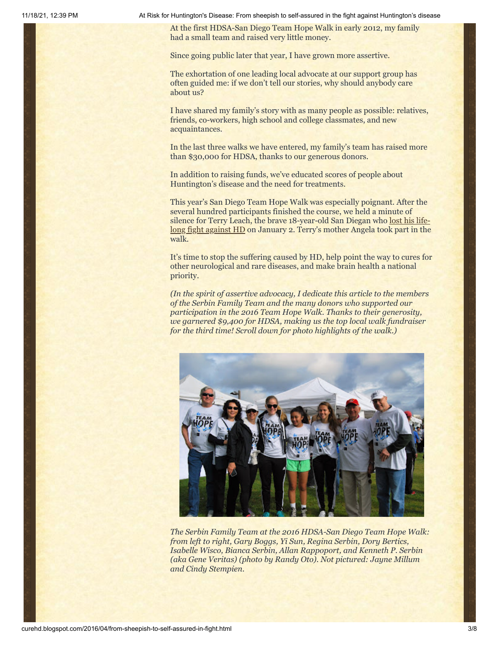11/18/21, 12:39 PM At Risk for Huntington's Disease: From sheepish to self-assured in the fight against Huntington's disease

At the first HDSA-San Diego Team Hope Walk in early 2012, my family had a small team and raised very little money.

Since going public later that year, I have grown more assertive.

The exhortation of one leading local advocate at our support group has often guided me: if we don't tell our stories, why should anybody care about us?

I have shared my family's story with as many people as possible: relatives, friends, co-workers, high school and college classmates, and new acquaintances.

In the last three walks we have entered, my family's team has raised more than \$30,000 for HDSA, thanks to our generous donors.

In addition to raising funds, we've educated scores of people about Huntington's disease and the need for treatments.

This year's San Diego Team Hope Walk was especially poignant. After the several hundred participants finished the course, we held a minute of silence for Terry [Leach, the brave 18-year-old San Diegan who lost his life](http://www.curehd.blogspot.com/2016/01/a-key-huntingtons-disease-trial-remedy.html)long fight against HD on January 2. Terry's mother Angela took part in the walk.

It's time to stop the suffering caused by HD, help point the way to cures for other neurological and rare diseases, and make brain health a national priority.

*(In the spirit of assertive advocacy, I dedicate this article to the members of the Serbin Family Team and the many donors who supported our participation in the 2016 Team Hope Walk. Thanks to their generosity, we garnered \$9,400 for HDSA, making us the top local walk fundraiser for the third time! Scroll down for photo highlights of the walk.)*



*The Serbin Family Team at the 2016 HDSA-San Diego Team Hope Walk: from left to right, Gary Boggs, Yi Sun, Regina Serbin, Dory Bertics, Isabelle Wisco, Bianca Serbin, Allan Rappoport, and Kenneth P. Serbin (aka Gene Veritas) (photo by Randy Oto). Not pictured: Jayne Millum and Cindy Stempien.*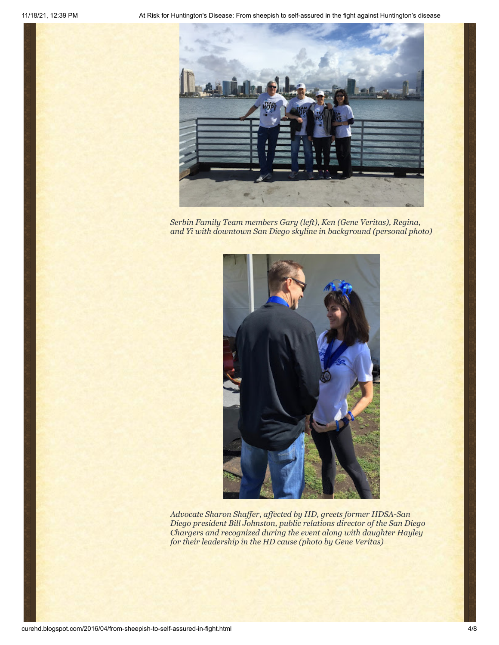

*Serbin Family Team members Gary (left), Ken (Gene Veritas), Regina, and Yi with downtown San Diego skyline in background (personal photo)*



*Advocate Sharon Shaffer, affected by HD, greets former HDSA-San Diego president Bill Johnston, public relations director of the San Diego Chargers and recognized during the event along with daughter Hayley for their leadership in the HD cause (photo by Gene Veritas)*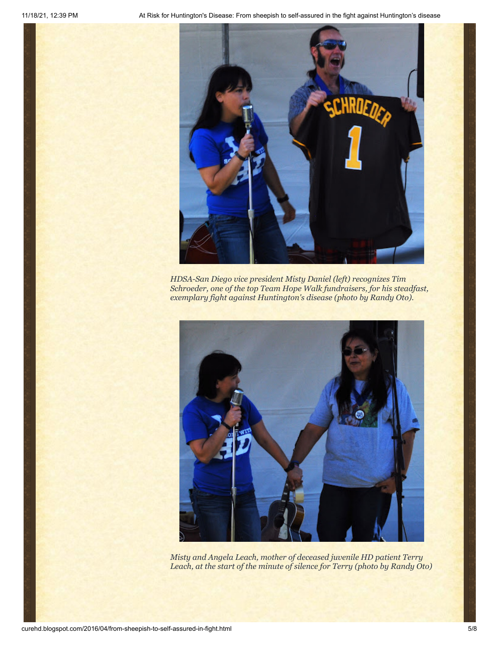

*HDSA-San Diego vice president Misty Daniel (left) recognizes Tim Schroeder, one of the top Team Hope Walk fundraisers, for his steadfast, exemplary fight against Huntington's disease (photo by Randy Oto).*



*Misty and Angela Leach, mother of deceased juvenile HD patient Terry Leach, at the start of the minute of silence for Terry (photo by Randy Oto)*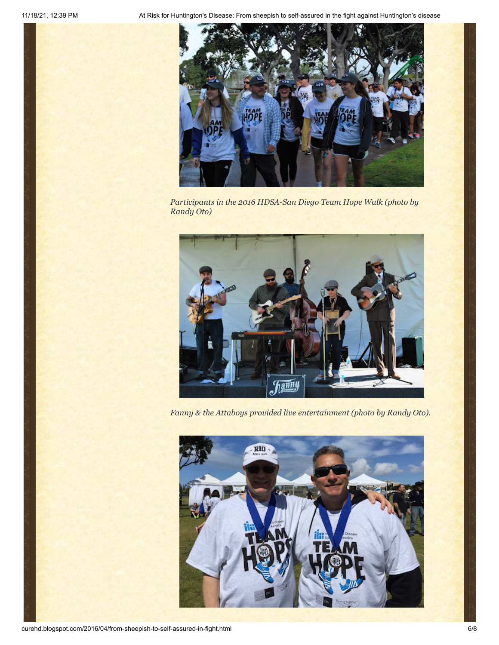

*Participants in the 2016 HDSA-San Diego Team Hope Walk (photo by Randy Oto)*



*Fanny & the Attaboys provided live entertainment (photo by Randy Oto).*

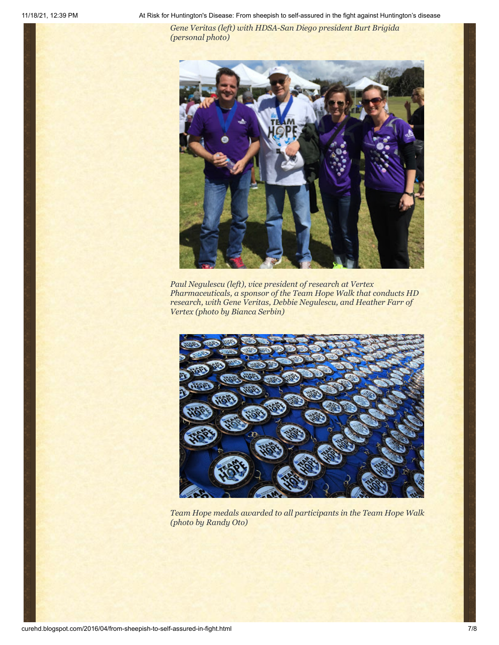11/18/21, 12:39 PM At Risk for Huntington's Disease: From sheepish to self-assured in the fight against Huntington's disease

*Gene Veritas (left) with HDSA-San Diego president Burt Brigida (personal photo)*



*Paul Negulescu (left), vice president of research at Vertex Pharmaceuticals, a sponsor of the Team Hope Walk that conducts HD research, with Gene Veritas, Debbie Negulescu, and Heather Farr of Vertex (photo by Bianca Serbin)*



*Team Hope medals awarded to all participants in the Team Hope Walk (photo by Randy Oto)*